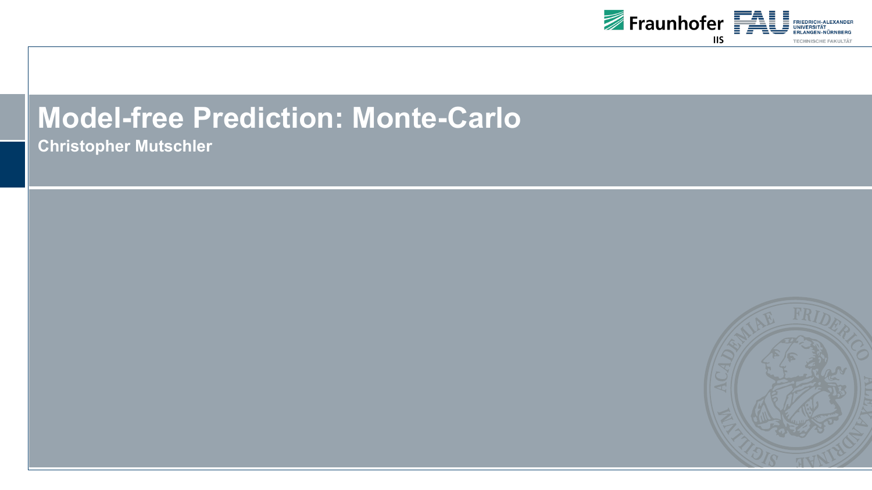

### **Model-free Prediction: Monte-Carlo**

**Christopher Mutschler**

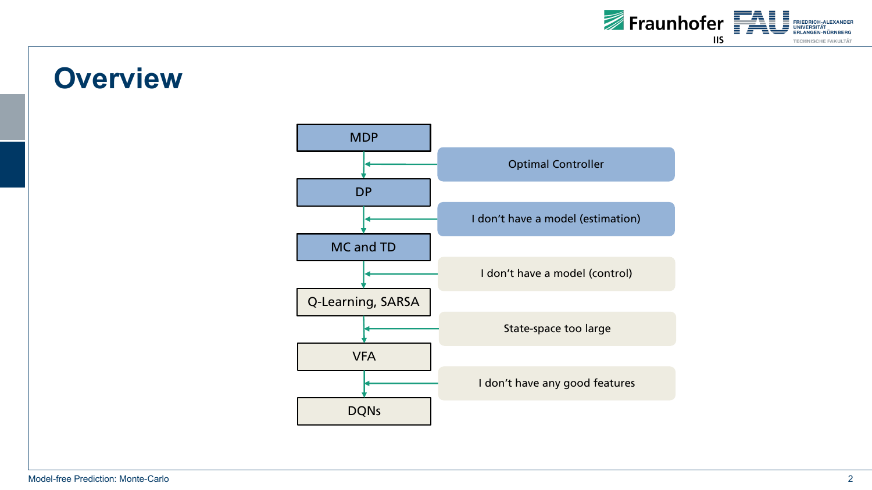

### **Overview**

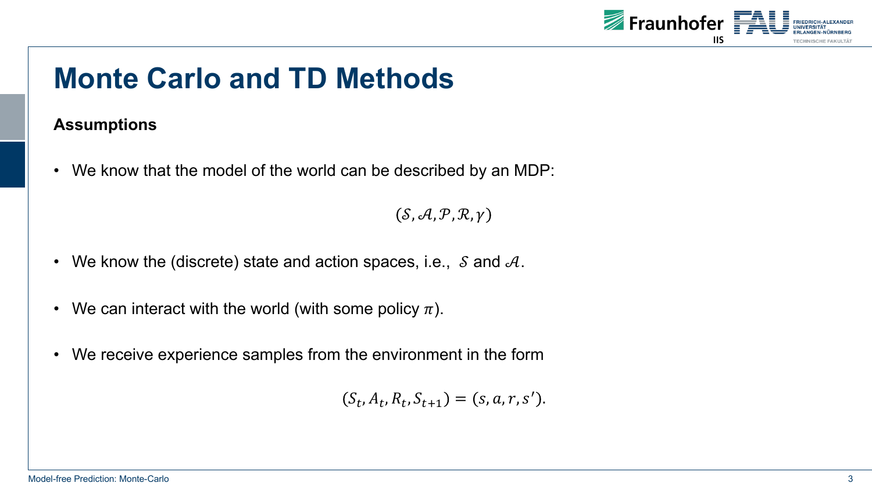

## **Monte Carlo and TD Methods**

### **Assumptions**

• We know that the model of the world can be described by an MDP:

 $(S, A, P, R, \gamma)$ 

- We know the (discrete) state and action spaces, i.e.,  $\delta$  and  $\delta A$ .
- We can interact with the world (with some policy  $\pi$ ).
- We receive experience samples from the environment in the form

 $(S_t, A_t, R_t, S_{t+1}) = (s, a, r, s').$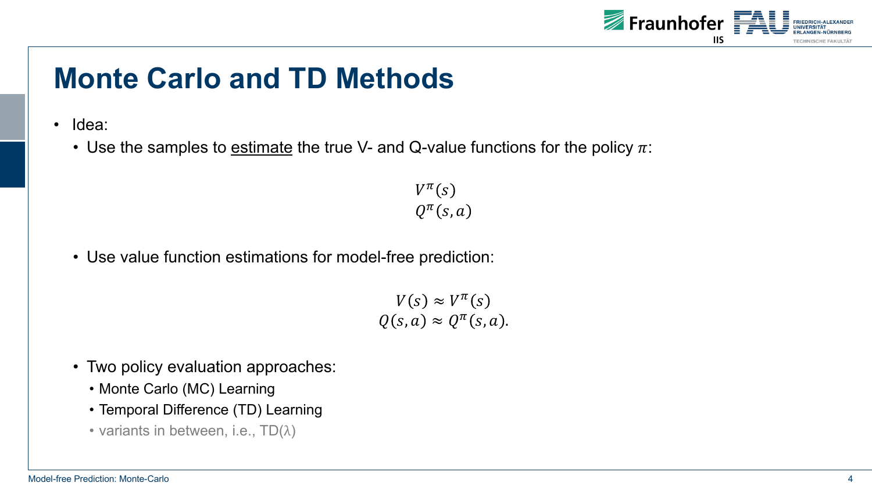

# **Monte Carlo and TD Methods**

- Idea:
	- Use the samples to estimate the true V- and Q-value functions for the policy  $\pi$ :

 $V^{\pi}(s)$  $Q^{\pi}(s,a)$ 

• Use value function estimations for model-free prediction:

 $V(s) \approx V^{\pi}(s)$  $Q(s, a) \approx Q^{\pi}(s, a).$ 

- Two policy evaluation approaches:
	- Monte Carlo (MC) Learning
	- Temporal Difference (TD) Learning
	- variants in between, i.e.,  $TD(\lambda)$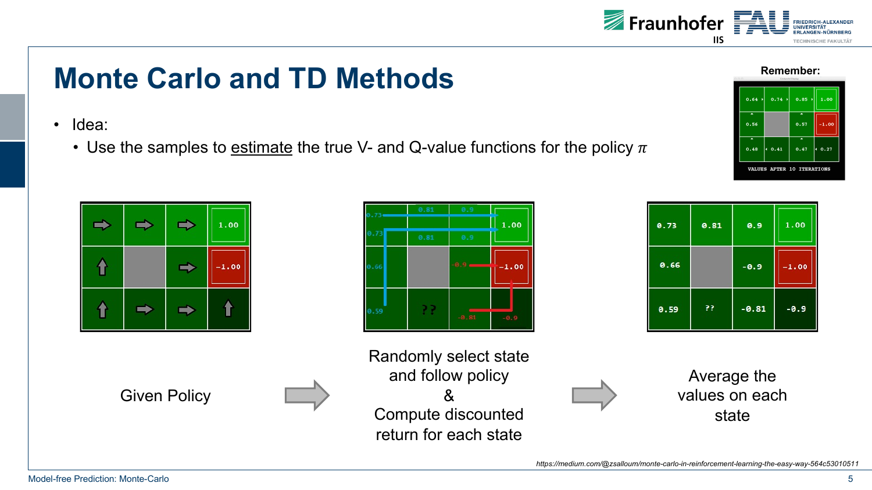

## **Monte Carlo and TD Methods**

- Idea:
	- Use the samples to estimate the true V- and Q-value functions for the policy  $\pi$

|  | 1.00    |
|--|---------|
|  | $-1.00$ |
|  |         |

Given Policy

| 0.66 |  |       | ٠ |
|------|--|-------|---|
| 0.59 |  | -0.81 |   |



 $-0.81$ 



1.00

 $-1.00$ 

Average the values on each state

33

0.59

*https://medium.com/@zsalloum/monte-carlo-in-reinforcement-learning-the-easy-way-564c53010511*



 $-0.9$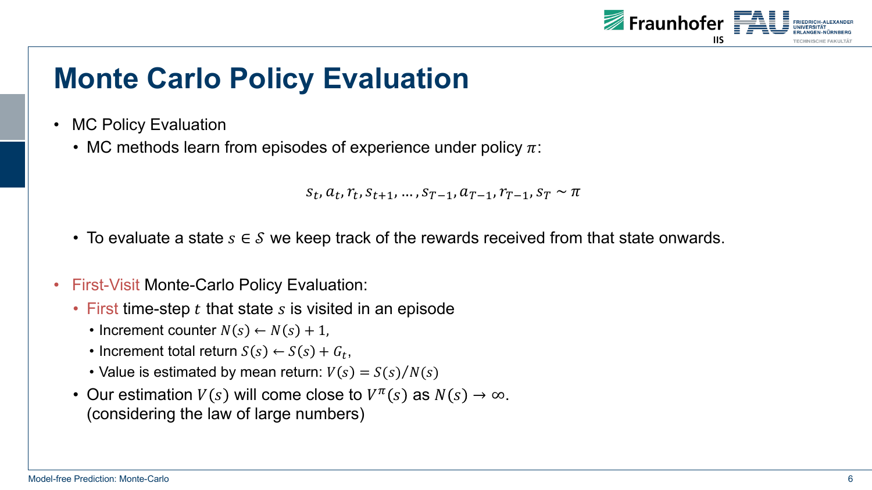

- MC Policy Evaluation
	- MC methods learn from episodes of experience under policy  $\pi$ :

```
S_t, a_t, r_t, S_{t+1}, ..., S_{T-1}, a_{T-1}, r_{T-1}, S_T \sim \pi
```
- To evaluate a state  $s \in \mathcal{S}$  we keep track of the rewards received from that state onwards.
- First-Visit Monte-Carlo Policy Evaluation:
	- First time-step  $t$  that state  $s$  is visited in an episode
		- Increment counter  $N(s) \leftarrow N(s) + 1$ ,
		- Increment total return  $S(s) \leftarrow S(s) + G_t$ ,
		- Value is estimated by mean return:  $V(s) = S(s)/N(s)$
	- Our estimation  $V(s)$  will come close to  $V^{\pi}(s)$  as  $N(s) \rightarrow \infty$ . (considering the law of large numbers)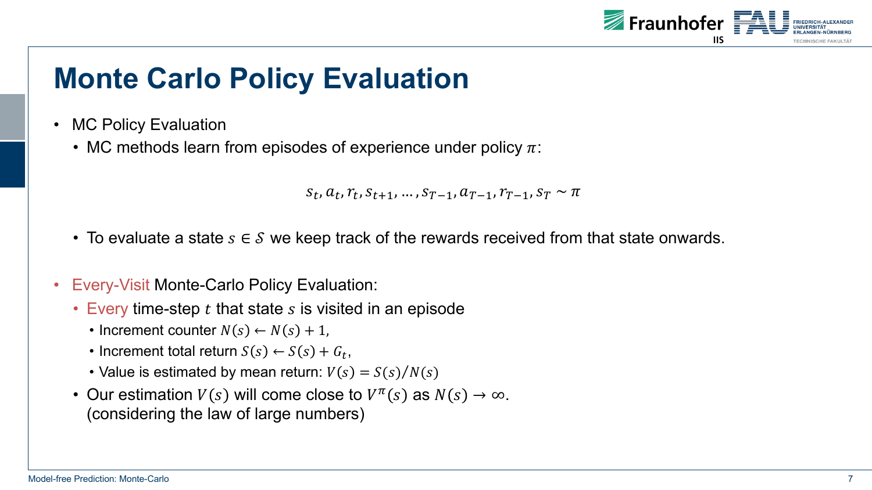

- MC Policy Evaluation
	- MC methods learn from episodes of experience under policy  $\pi$ :

```
S_t, a_t, r_t, S_{t+1}, ..., S_{T-1}, a_{T-1}, r_{T-1}, S_T \sim \pi
```
- To evaluate a state  $s \in \mathcal{S}$  we keep track of the rewards received from that state onwards.
- Every-Visit Monte-Carlo Policy Evaluation:
	- Every time-step  $t$  that state  $s$  is visited in an episode
		- Increment counter  $N(s) \leftarrow N(s) + 1$ ,
		- Increment total return  $S(s) \leftarrow S(s) + G_t$ ,
		- Value is estimated by mean return:  $V(s) = S(s)/N(s)$
	- Our estimation  $V(s)$  will come close to  $V^{\pi}(s)$  as  $N(s) \rightarrow \infty$ . (considering the law of large numbers)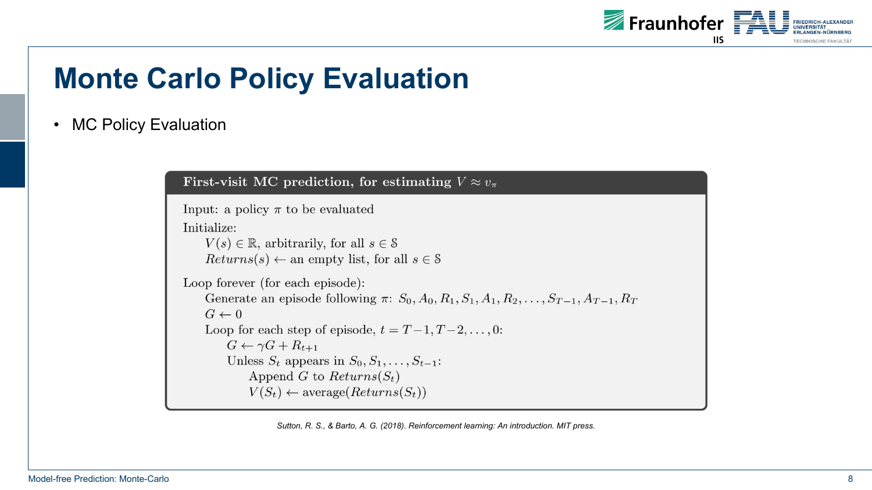

#### • MC Policy Evaluation

First-visit MC prediction, for estimating  $V \approx v_{\pi}$ 

```
Input: a policy \pi to be evaluated
Initialize:
     V(s) \in \mathbb{R}, arbitrarily, for all s \in \mathcal{S}Returns(s) \leftarrow \text{an empty list, for all } s \in \mathcal{S}Loop forever (for each episode):
    Generate an episode following \pi: S_0, A_0, R_1, S_1, A_1, R_2, \ldots, S_{T-1}, A_{T-1}, R_TG \leftarrow 0Loop for each step of episode, t = T-1, T-2, \ldots, 0:
         G \leftarrow \gamma G + R_{t+1}Unless S_t appears in S_0, S_1, \ldots, S_{t-1}:
              Append G to Returns(S_t)V(S_t) \leftarrow \text{average}(Returns(S_t))
```
*Sutton, R. S., & Barto, A. G. (2018). Reinforcement learning: An introduction. MIT press.*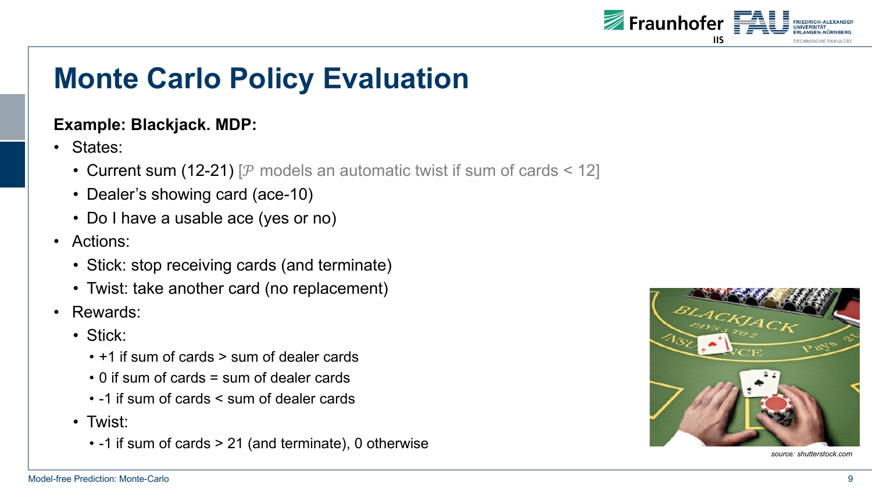

### **Example: Blackjack. MDP:**

- States:
	- Current sum (12-21) [ $P$  models an automatic twist if sum of cards < 12]
	- Dealer's showing card (ace-10)
	- Do I have a usable ace (yes or no)
- Actions:
	- Stick: stop receiving cards (and terminate)
	- Twist: take another card (no replacement)
- Rewards:
	- Stick:
		- +1 if sum of cards > sum of dealer cards
		- 0 if sum of cards = sum of dealer cards
		- -1 if sum of cards < sum of dealer cards
	- Twist:
		- -1 if sum of cards > 21 (and terminate), 0 otherwise



*source: shutterstock.com*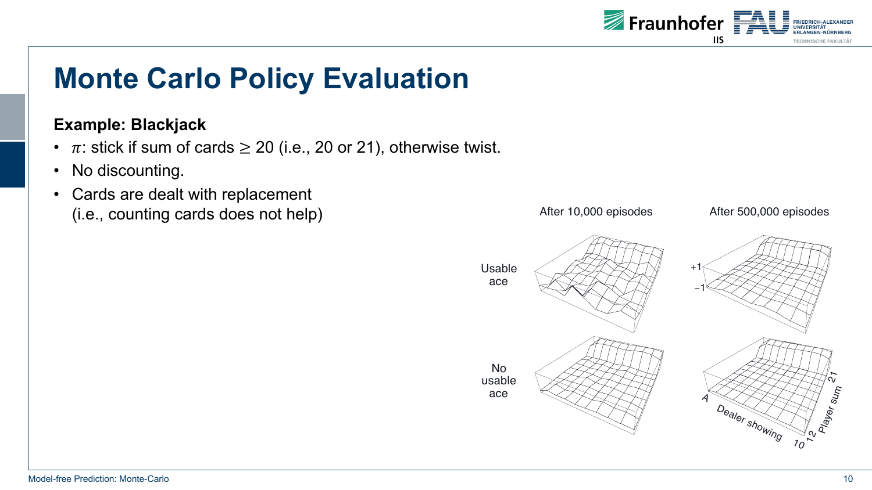

### **Example: Blackjack**

- $\pi$ : stick if sum of cards  $\geq$  20 (i.e., 20 or 21), otherwise twist.
- No discounting.
- Cards are dealt with replacement (i.e., counting cards does not help)

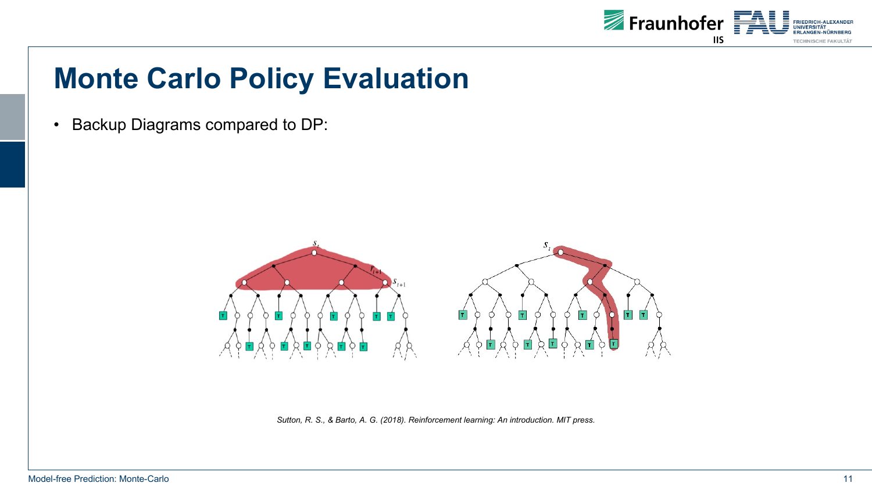

• Backup Diagrams compared to DP:



*Sutton, R. S., & Barto, A. G. (2018). Reinforcement learning: An introduction. MIT press.*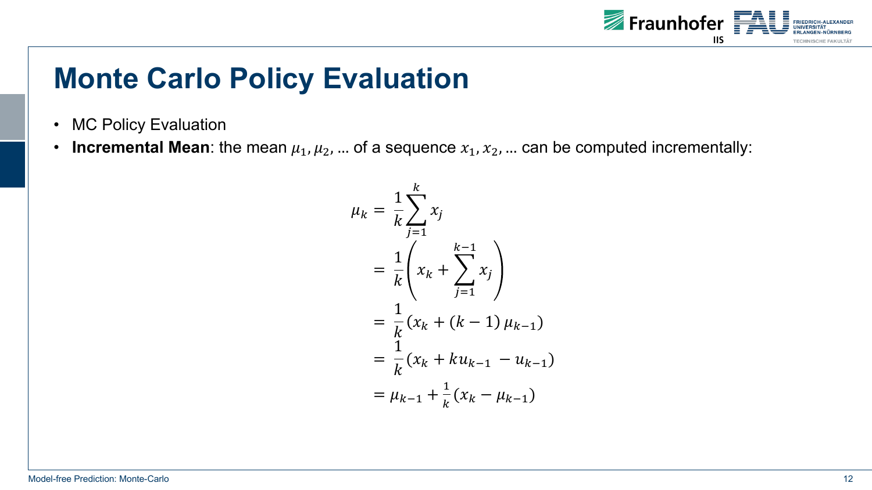

- MC Policy Evaluation
- **Incremental Mean**: the mean  $\mu_1, \mu_2, ...$  of a sequence  $x_1, x_2, ...$  can be computed incrementally:

$$
\mu_k = \frac{1}{k} \sum_{j=1}^k x_j
$$
  
=  $\frac{1}{k} \left( x_k + \sum_{j=1}^{k-1} x_j \right)$   
=  $\frac{1}{k} (x_k + (k-1) \mu_{k-1})$   
=  $\frac{1}{k} (x_k + k u_{k-1} - u_{k-1})$   
=  $\mu_{k-1} + \frac{1}{k} (x_k - \mu_{k-1})$